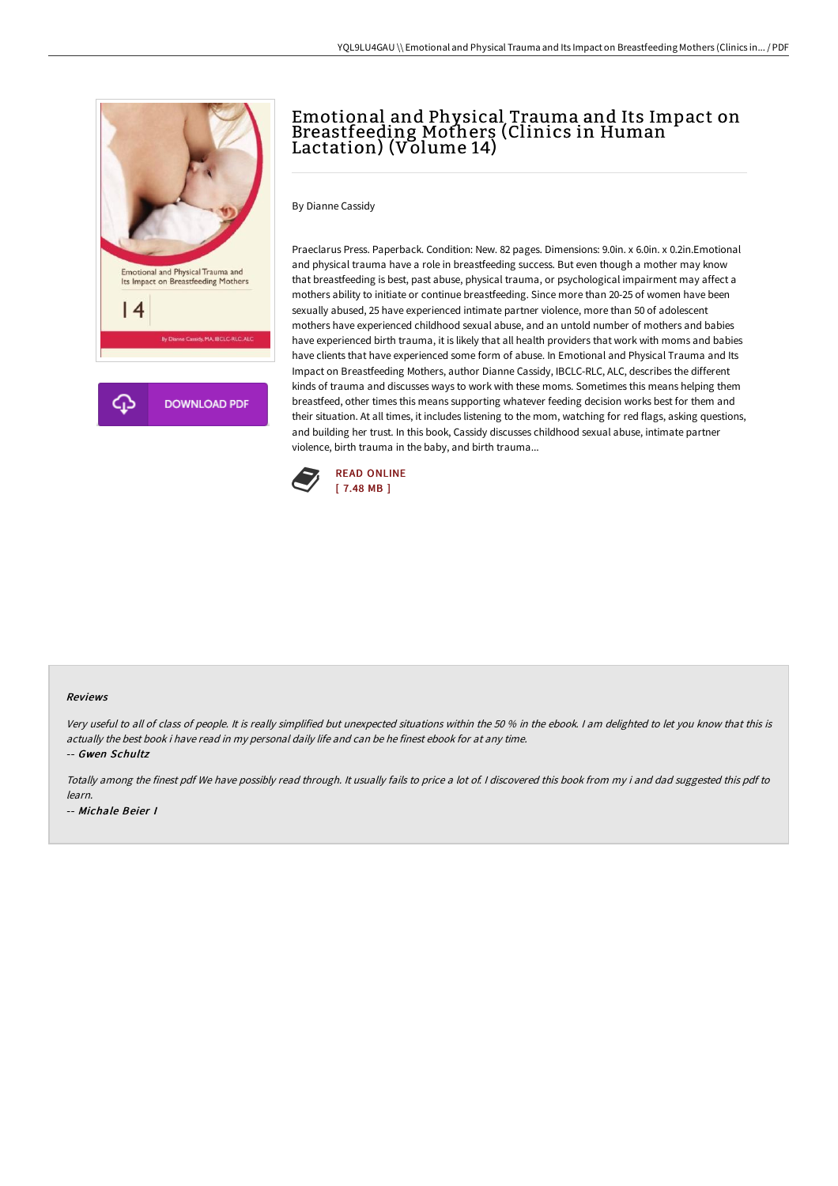

## Emotional and Physical Trauma and Its Impact on Breastfeeding Mothers (Clinics in Human Lactation) (Volume 14)

By Dianne Cassidy

Praeclarus Press. Paperback. Condition: New. 82 pages. Dimensions: 9.0in. x 6.0in. x 0.2in.Emotional and physical trauma have a role in breastfeeding success. But even though a mother may know that breastfeeding is best, past abuse, physical trauma, or psychological impairment may affect a mothers ability to initiate or continue breastfeeding. Since more than 20-25 of women have been sexually abused, 25 have experienced intimate partner violence, more than 50 of adolescent mothers have experienced childhood sexual abuse, and an untold number of mothers and babies have experienced birth trauma, it is likely that all health providers that work with moms and babies have clients that have experienced some form of abuse. In Emotional and Physical Trauma and Its Impact on Breastfeeding Mothers, author Dianne Cassidy, IBCLC-RLC, ALC, describes the different kinds of trauma and discusses ways to work with these moms. Sometimes this means helping them breastfeed, other times this means supporting whatever feeding decision works best for them and their situation. At all times, it includes listening to the mom, watching for red flags, asking questions, and building her trust. In this book, Cassidy discusses childhood sexual abuse, intimate partner violence, birth trauma in the baby, and birth trauma...



## Reviews

Very useful to all of class of people. It is really simplified but unexpected situations within the <sup>50</sup> % in the ebook. <sup>I</sup> am delighted to let you know that this is actually the best book i have read in my personal daily life and can be he finest ebook for at any time.

-- Gwen Schultz

Totally among the finest pdf We have possibly read through. It usually fails to price <sup>a</sup> lot of. <sup>I</sup> discovered this book from my i and dad suggested this pdf to learn. -- Michale Beier I